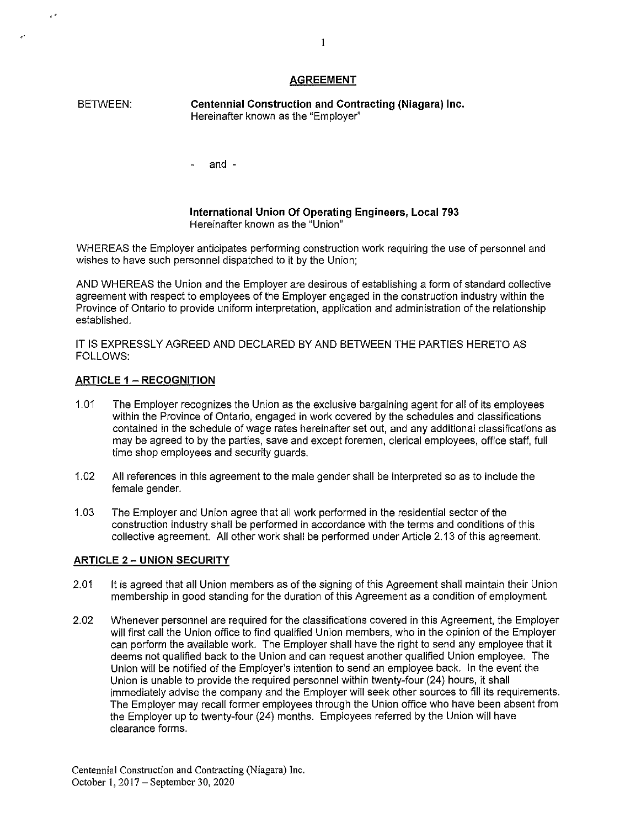# **AGREEMENT**

BETWEEN: **Centennial Construction and Contracting (Niagara) Inc.**  Hereinafter known as the "Employer''

and -

**International Union Of Operating Engineers, Local 793**  Hereinafter known as the "Union"

WHEREAS the Employer anticipates performing construction work requiring the use of personnel and wishes to have such personnel dispatched to it by the Union;

AND WHEREAS the Union and the Employer are desirous of establishing a form of standard collective agreement with respect to employees of the Employer engaged in the construction industry within the Province of Ontario to provide uniform interpretation, application and administration of the relationship established.

IT IS EXPRESSLY AGREED AND DECLARED BY AND BETWEEN THE PARTIES HERETO AS FOLLOWS:

# **ARTICLE** 1 - **RECOGNITION**

 $\epsilon$ 

- 1.01 The Employer recognizes the Union as the exclusive bargaining agent for all of its employees within the Province of Ontario, engaged in work covered by the schedules and classifications contained in the schedule of wage rates hereinafter set out, and any additional classifications as may be agreed to by the parties, *save* and except foremen, clerical employees, office staff, full time shop employees and security guards.
- 1.02 All references in this agreement to the male gender shall be interpreted so as to include the female gender.
- 1.03 The Employer and Union agree that all work performed in the residential sector of the construction industry shall be performed in accordance with the terms and conditions of this collective agreement. All other work shall be performed under Article 2.13 of this agreement.

# **ARTICLE 2 - UNION SECURITY**

- 2.01 It is agreed that all Union members as of the signing of this Agreement shall maintain their Union membership in good standing for the duration of this Agreement as a condition of employment.
- 2.02 Whenever personnel are required for the classifications covered in this Agreement, the Employer will first call the Union office to find qualified Union members, who in the opinion of the Employer can perform the available work. The Employer shall have the right to send any employee that it deems not qualified back to the Union and can request another qualified Union employee. The Union will be notified of the Employer's intention to send an employee back. In the event the Union is unable to provide the required personnel within twenty-four (24) hours, it shall immediately advise the company and the Employer will seek other sources to fill its requirements. The Employer may recall former employees through the Union office who have been absent from the Employer up to twenty-four (24) months. Employees referred by the Union will have clearance forms.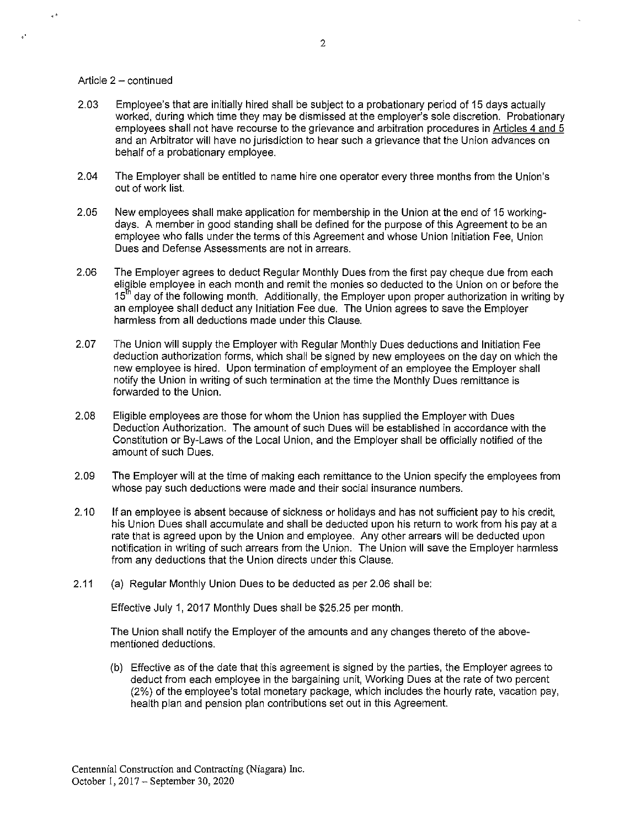#### Article 2 - continued

 $\epsilon$ 

- 2.03 Employee's that are initially hired shall be subject to a probationary period of 15 days actually worked, during which time they may be dismissed at the employer's sole discretion. Probationary employees shall not have recourse to the grievance and arbitration procedures in Articles 4 and 5 and an Arbitrator will have no jurisdiction to hear such a grievance that the Union advances on behalf of a probationary employee.
- 2.04 The Employer shall be entitled to name hire one operator every three months from the Union's out of work list.
- 2.05 New employees shall make application for membership in the Union at the end of 15 workingdays. A member in good standing shall be defined for the purpose of this Agreement to be an employee who falls under the terms of this Agreement and whose Union Initiation Fee, Union Dues and Defense Assessments are not in arrears.
- 2.06 The Employer agrees to deduct Regular Monthly Dues from the first pay cheque due from each eligible employee in each month and remit the monies so deducted to the Union on or before the 15<sup>th</sup> day of the following month. Additionally, the Employer upon proper authorization in writing by an employee shall deduct any Initiation Fee due. The Union agrees to save the Employer harmless from all deductions made under this Clause.
- 2.07 The Union will supply the Employer with Regular Monthly Dues deductions and Initiation Fee deduction authorization forms, which shall be signed by new employees on the day on which the new employee is hired. Upon termination of employment of an employee the Employer shall notify the Union in writing of such termination at the time the Monthly Dues remittance is forwarded to the Union.
- 2.08 Eligible employees are those for whom the Union has supplied the Employer with Dues Deduction Authorization. The amount of such Dues will be established in accordance with the Constitution or By-Laws of the Local Union, and the Employer shall be officially notified of the amount of such Dues.
- 2.09 The Employer will at the time of making each remittance to the Union specify the employees from whose pay such deductions were made and their social insurance numbers.
- 2.10 If an employee is absent because of sickness or holidays and has not sufficient pay to his credit, his Union Dues shall accumulate and shall be deducted upon his return to work from his pay at a rate that is agreed upon by the Union and employee. Any other arrears will be deducted upon notification in writing of such arrears from the Union. The Union will save the Employer harmless from any deductions that the Union directs under this Clause.
- 2.11 (a) Regular Monthly Union Dues to be deducted as per 2.06 shall be:

Effective July 1, 2017 Monthly Dues shall be \$25.25 per month.

The Union shall notify the Employer of the amounts and any changes thereto of the abovementioned deductions.

(b) Effective as of the date that this agreement is signed by the parties, the Employer agrees to deduct from each employee in the bargaining unit, Working Dues at the rate of two percent (2%) of the employee's total monetary package, which includes the hourly rate, vacation pay, health plan and pension plan contributions set out in this Agreement.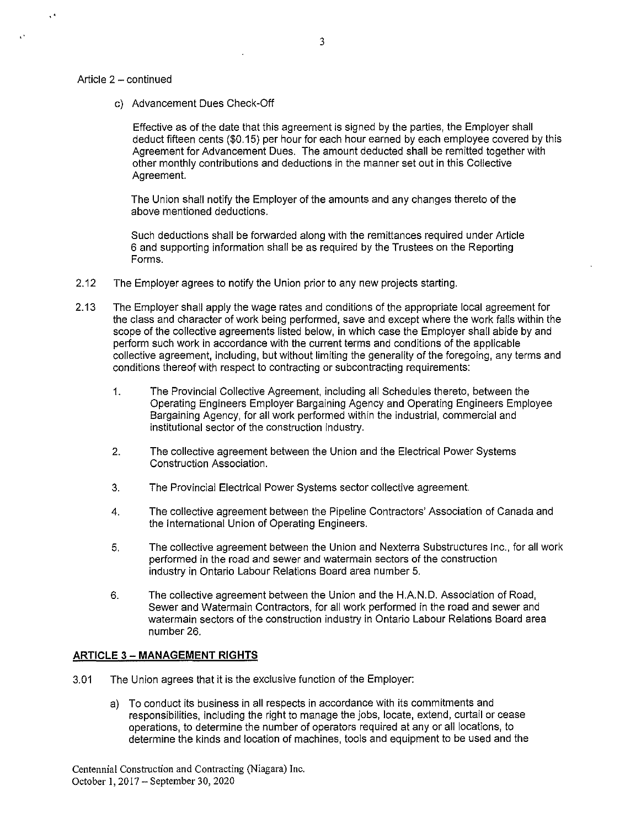#### Article 2 - continued

 $\ddot{\phantom{a}}$ 

c) Advancement Dues Check-Off

Effective as of the date that this agreement is signed by the parties, the Employer shall deduct fifteen cents (\$0. 15) per hour for each hour earned by each employee covered by this Agreement for Advancement Dues. The amount deducted shall be remitted together with other monthly contributions and deductions in the manner set out in this Collective Agreement.

The Union shall notify the Employer of the amounts and any changes thereto of the above mentioned deductions.

Such deductions shall be forwarded along with the remittances required under Article 6 and supporting information shall be as required by the Trustees on the Reporting Forms.

- 2.12 The Employer agrees to notify the Union prior to any new projects starting.
- 2.13 The Employer shall apply the wage rates and conditions of the appropriate local agreement for the class and character of work being performed, save and except where the work falls within the scope of the collective agreements listed below, in which case the Employer shall abide by and perform such work in accordance with the current terms and conditions of the applicable collective agreement, including, but without limiting the generality of the foregoing, any terms and conditions thereof with respect to contracting or subcontracting requirements:
	- 1. The Provincial Collective Agreement, including all Schedules thereto, between the Operating Engineers Employer Bargaining Agency and Operating Engineers Employee Bargaining Agency, for all work performed within the industrial, commercial and institutional sector of the construction industry.
	- 2. The collective agreement between the Union and the Electrical Power Systems Construction Association.
	- 3. The Provincial Electrical Power Systems sector collective agreement.
	- 4. The collective agreement between the Pipeline Contractors' Association of Canada and the International Union of Operating Engineers.
	- 5. The collective agreement between the Union and Nexterra Substructures Inc., for all work performed in the road and sewer and watermain sectors of the construction industry in Ontario Labour Relations Board area number 5.
	- 6. The collective agreement between the Union and the H.AN.D. Association of Road, Sewer and Watermain Contractors, for all work performed in the road and sewer and watermain sectors of the construction industry in Ontario Labour Relations Board area number 26.

# **ARTICLE** 3 - **MANAGEMENT RIGHTS**

- 3.01 The Union agrees that it is the exclusive function of the Employer:
	- a) To conduct its business in all respects in accordance with its commitments and responsibilities, including the right to manage the jobs, locate, extend, curtail or cease operations, to determine the number of operators required at any or all locations, to determine the kinds and location of machines, tools and equipment to be used and the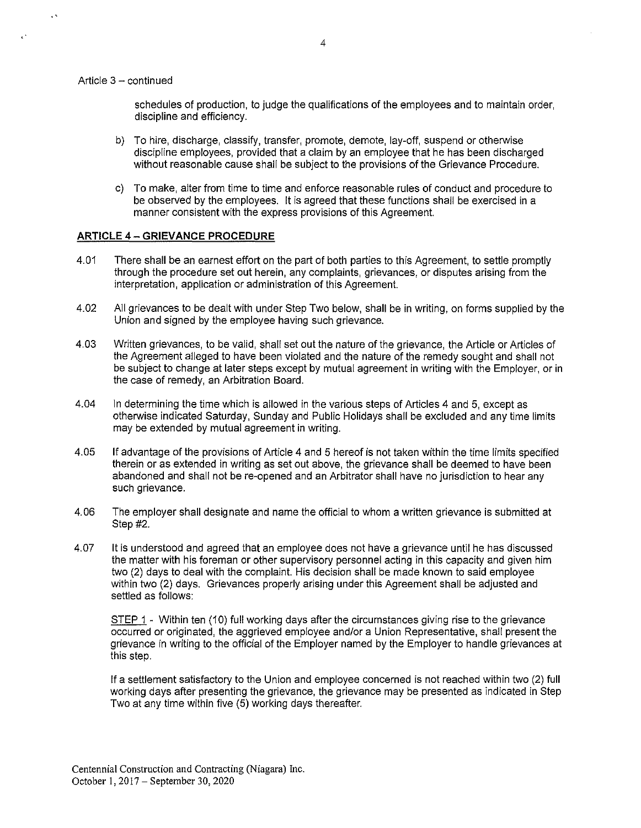Article  $3 -$  continued

L.

 $\lambda$ 

schedules of production, to judge the qualifications of the employees and to maintain order, discipline and efficiency.

- b) To hire, discharge, classify, transfer, promote, demote, lay-off, suspend or otherwise discipline employees, provided that a claim by an employee that he has been discharged without reasonable cause shall be subject to the provisions of the Grievance Procedure.
- c) To make, alter from time to time and enforce reasonable rules of conduct and procedure to be observed by the employees. It is agreed that these functions shall be exercised in a manner consistent with the express provisions of this Agreement.

#### **ARTICLE 4 - GRIEVANCE PROCEDURE**

- 4.01 There shall be an earnest effort on the part of both parties to this Agreement, to settle promptly through the procedure set out herein, any complaints, grievances, or disputes arising from the interpretation, application or administration of this Agreement.
- 4.02 All grievances to be dealt with under Step Two below, shall be in writing, on forms supplied by the Union and signed by the employee having such grievance.
- 4.03 Written grievances, to be valid, shall set out the nature of the grievance, the Article or Articles of the Agreement alleged to have been violated and the nature of the remedy sought and shall not be subject to change at later steps except by mutual agreement in writing with the Employer, or in the case of remedy, an Arbitration Board.
- 4.04 In determining the time which is allowed in the various steps of Articles 4 and 5, except as otherwise indicated Saturday, Sunday and Public Holidays shall be excluded and any time limits may be extended by mutual agreement in writing.
- 4.05 If advantage of the provisions of Article 4 and 5 hereof is not taken within the time limits specified therein or as extended in writing as set out above, the grievance shall be deemed to have been abandoned and shall not be re-opened and an Arbitrator shall have no jurisdiction to hear any such grievance.
- 4.06 The employer shall designate and name the official to whom a written grievance is submitted at Step #2.
- 4.07 It is understood and agreed that an employee does not have a grievance until he has discussed the matter with his foreman or other supervisory personnel acting in this capacity and given him two (2) days to deal with the complaint. His decision shall be made known to said employee within two (2) days. Grievances properly arising under this Agreement shall be adjusted and settled as follows:

STEP 1 - Within ten (10) full working days after the circumstances giving rise to the grievance occurred or originated, the aggrieved employee and/or a Union Representative, shall present the grievance in writing to the official of the Employer named by the Employer to handle grievances at this step.

If a settlement satisfactory to the Union and employee concerned is not reached within two (2) full working days after presenting the grievance, the grievance may be presented as indicated in Step Two at any time within five (5) working days thereafter.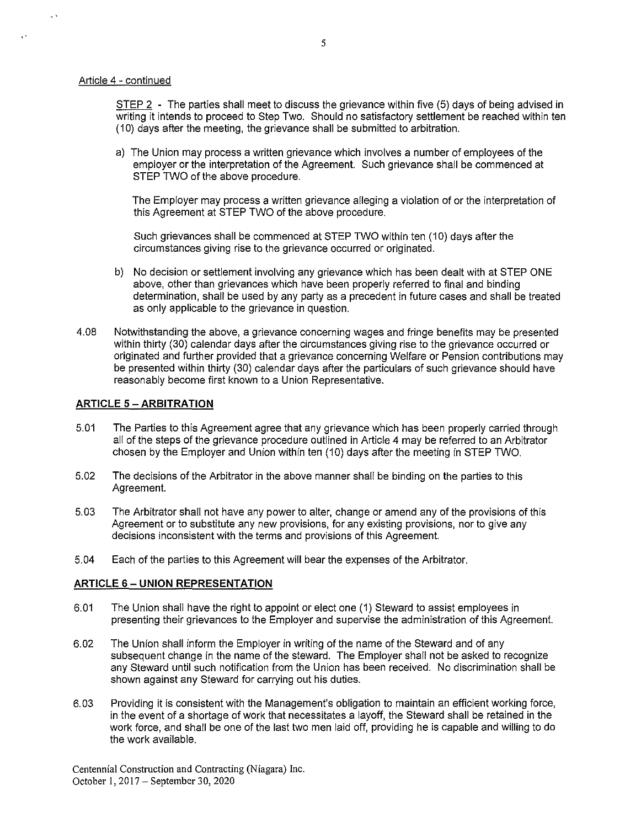#### Article 4 - continued

 $\sqrt{3}$ 

 $\sim$ 

STEP 2 - The parties shall meet to discuss the grievance within five (5) days of being advised in writing it intends to proceed to Step Two. Should no satisfactory settlement be reached within ten (10) days after the meeting, the grievance shall be submitted to arbitration.

a) The Union may process a written grievance which involves a number of employees of the employer or the interpretation of the Agreement. Such grievance shall be commenced at STEP TWO of the above procedure.

The Employer may process a written grievance alleging a violation of or the interpretation of this Agreement at STEP TWO of the above procedure.

Such grievances shall be commenced at STEP TWO within ten (10) days after the circumstances giving rise to the grievance occurred or originated.

- b) No decision or settlement involving any grievance which has been dealt with at STEP ONE above, other than grievances which have been properly referred to final and binding determination, shall be used by any party as a precedent in future cases and shall be treated as only applicable to the grievance in question.
- 4.08 Notwithstanding the above, a grievance concerning wages and fringe benefits may be presented within thirty (30) calendar days after the circumstances giving rise to the grievance occurred or originated and further provided that a grievance concerning Welfare or Pension contributions may be presented within thirty (30) calendar days after the particulars of such grievance should have reasonably become first known to a Union Representative.

# **ARTICLE 5 -ARBITRATION**

- 5.01 The Parties to this Agreement agree that any grievance which has been properly carried through all of the steps of the grievance procedure outlined in Article 4 may be referred to an Arbitrator chosen by the Employer and Union within ten (10) days afterthe meeting in STEP TWO.
- 5.02 The decisions of the Arbitrator in the above manner shall be binding on the parties to this Agreement.
- 5.03 The Arbitrator shall not have any power to alter, change or amend any of the provisions of this Agreement or to substitute any new provisions, for any existing provisions, nor to give any decisions inconsistent with the terms and provisions of this Agreement.
- 5.04 Each of the parties to this Agreement will bear the expenses of the Arbitrator.

# **ARTICLE** 6 - **UNION REPRESENTATION**

- 6.01 The Union shall have the right to appoint or elect one (1) Steward to assist employees in presenting their grievances to the Employer and supervise the administration of this Agreement.
- 6.02 The Union shall inform the Employer in writing of the name of the Steward and of any subsequent change in the name of the steward. The Employer shall not be asked to recognize any Steward until such notification from the Union has been received. No discrimination shall be shown against any Steward for carrying out his duties.
- 6.03 Providing it is consistent with the Management's obligation to maintain an efficient working force, in the event of a shortage of work that necessitates a layoff, the Steward shall be retained in the work force, and shall be one of the last two men laid off, providing he is capable and willing to do the work available.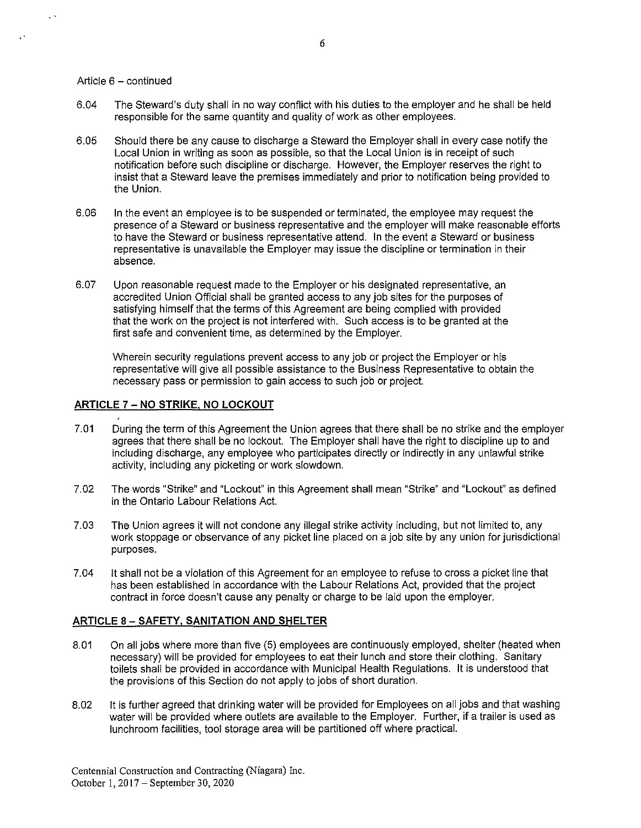#### Article 6 - continued

 $\sqrt{2}$ 

- 6.04 The Steward's duty shall in no way conflict with his duties to the employer and he shall be held responsible for the same quantity and quality of work as other employees.
- 6.05 Should there be any cause to discharge a Steward the Employer shall in every case notify the Local Union in writing as soon as possible, so that the Local Union is in receipt of such notification before such discipline or discharge. However, the Employer reserves the right to insist that a Steward leave the premises immediately and prior to notification being provided to the Union.
- 6.06 In the event an employee is to be suspended or terminated, the employee may request the presence of a Steward or business representative and the employer will make reasonable efforts to have the Steward or business representative attend. In the event a Steward or business representative is unavailable the Employer may issue the discipline or termination in their absence.
- 6.07 Upon reasonable request made to the Employer or his designated representative, an accredited Union Official shall be granted access to any job sites for the purposes of satisfying himself that the terms of this Agreement are being complied with provided that the work on the project is not interfered with. Such access is to be granted at the first safe and convenient time, as determined by the Employer.

Wherein security regulations prevent access to any job or project the Employer or his representative will give all possible assistance to the Business Representative to obtain the necessary pass or permission to gain access to such job or project.

#### **ARTICLE 7** - NO **STRIKE, NO LOCKOUT**

- 7.01 During the term of this Agreement the Union agrees that there shall be no strike and the employer agrees that there shall be no lockout. The Employer shall have the right to discipline up to and including discharge, any employee who participates directly or indirectly in any unlawful strike activity, including any picketing or work slowdown.
- 7.02 The words "Strike" and "Lockout" in this Agreement shall mean "Strike" and "Lockout" as defined in the Ontario Labour Relations Act.
- 7.03 The Union agrees it will not condone any illegal strike activity including, but not limited to, any work stoppage or observance of any picket line placed on a job site by any union for jurisdictional purposes.
- 7.04 It shall not be a violation of this Agreement for an employee to refuse to cross a picket line that has been established in accordance with the Labour Relations Act, provided that the project contract in force doesn't cause any penalty or charge to be laid upon the employer.

#### **ARTICLE** 8 - **SAFETY, SANITATION AND SHELTER**

- 8.01 On all jobs where more than five (5) employees are continuously employed, shelter (heated when necessary) will be provided for employees to eat their lunch and store their clothing. Sanitary toilets shall be provided in accordance with Municipal Health Regulations. It is understood that the provisions of this Section do not apply to jobs of short duration.
- 8.02 It is further agreed that drinking water will be provided for Employees on all jobs and that washing water will be provided where outlets are available to the Employer. Further, if a trailer is used as lunchroom facilities, tool storage area will be partitioned off where practical.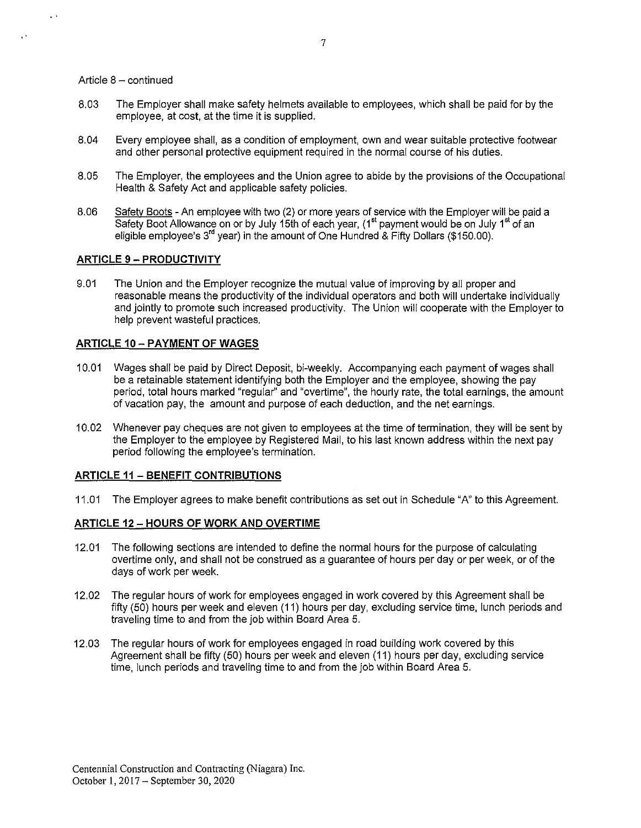#### Article  $8 -$  continued

 $\ddot{\phantom{1}}$ 

- 8.03 The Employer shall make safety helmets available to employees, which shall be paid for by the employee, at cost, at the time it is supplied.
- 8.04 Every employee shall, as a condition of employment, own and wear suitable protective footwear and other personal protective equipment required in the normal course of his duties.
- 8.05 The Employer, the employees and the Union agree to abide by the provisions of the Occupational Health & Safety Act and applicable safety policies.
- 8.06 Safety Boots An employee with two (2) or more years of service with the Employer will be paid a Safety Boot Allowance on or by July 15th of each year, (1<sup>st</sup> payment would be on July 1<sup>st</sup> of an eligible employee's 3<sup>rd</sup> year) in the amount of One Hundred & Fifty Dollars (\$150.00).

# **ARTICLE** 9 - **PRODUCTIVITY**

9.01 The Union and the Employer recognize the mutual value of improving by all proper and reasonable means the productivity of the individual operators and both will undertake individually and jointly to promote such increased productivity. The Union will cooperate with the Employer to help prevent wasteful practices.

# **ARTICLE 10-PAYMENT OF WAGES**

- 10.01 Wages shall be paid by Direct Deposit, bi-weekly. Accompanying each payment of wages shall be a retainable statement identifying both the Employer and the employee, showing the pay period, total hours marked "regular" and "overtime", the hourly rate, the total earnings, the amount of vacation pay, the amount and purpose of each deduction, and the net earnings.
- 10.02 Whenever pay cheques are not given to employees at the time of termination, they will be sent by the Employer to the employee by Registered Mail, to his last known address within the next pay period following the employee's termination.

# **ARTICLE 11 - BENEFIT CONTRIBUTIONS**

11.01 The Employer agrees to make benefit contributions as set out in Schedule "A" to this Agreement.

# **ARTICLE** 12 - **HOURS OF WORK AND OVERTIME**

- 12.01 The following sections are intended to define the normal hours for the purpose of calculating overtime only, and shall not be construed as a guarantee of hours per day or per week, or of the days of work per week.
- 12.02 The regular hours of work for employees engaged in work covered by this Agreement shall be fifty (50) hours per week and eleven (11) hours per day, excluding service time, lunch periods and traveling time to and from the job within Board Area 5.
- 12.03 The regular hours of work for employees engaged in road building work covered by this Agreement shall be fifty (50) hours per week and eleven (11) hours per day, excluding service time, lunch periods and traveling time to and from the job within Board Area 5.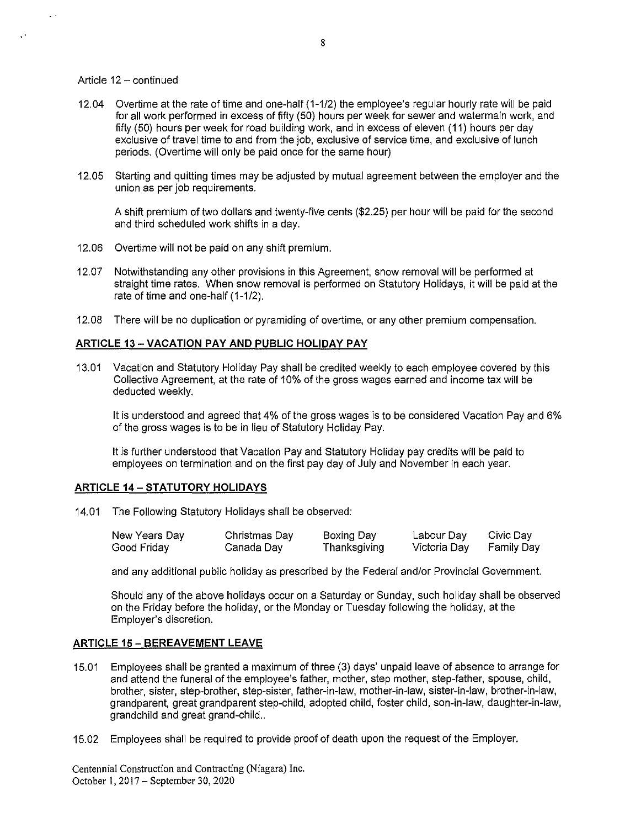#### Article  $12 -$  continued

Ļ.

 $\mathbf{r}$ 

- 12.04 Overtime at the rate of time and one-half (1-1/2) the employee's regular hourly rate will be paid for all work performed in excess of fifty (50) hours per week for sewer and watermain work, and fifty (50) hours per week for road building work, and in excess of eleven (11) hours per day exclusive of travel time to and from the job, exclusive of service time, and exclusive of lunch periods. (Overtime will only be paid once for the same hour)
- 12.05 Starting and quitting times may be adjusted by mutual agreement between the employer and the union as per job requirements.

A shift premium of two dollars and twenty-five cents (\$2.25) per hour will be paid for the second and third scheduled work shifts in a day.

- 12.06 Overtime will not be paid on any shift premium.
- 12.07 Notwithstanding any other provisions in this Agreement, snow removal will be performed at straight time rates. When snow removal is performed on Statutory Holidays, it will be paid at the rate of time and one-half (1-1/2).
- 12.08 There will be no duplication or pyramiding of overtime, or any other premium compensation.

# **ARTICLE 13 - VACATION PAY AND PUBLIC HOLIDAY PAY**

13.01 Vacation and Statutory Holiday Pay shall be credited weekly to each employee covered by this Collective Agreement, at the rate of 10% of the gross wages earned and income tax will be deducted weekly.

It is understood and agreed that 4% of the gross wages is to be considered Vacation Pay and 6% of the gross wages is to be in lieu of Statutory Holiday Pay.

It is further understood that Vacation Pay and Statutory Holiday pay credits will be paid to employees on termination and on the first pay day of July and November in each year.

# **ARTICLE 14 - STATUTORY HOLIDAYS**

14.01 The Following Statutory Holidays shall be observed:

| New Years Day | Christmas Day | Boxing Day   | Labour Day   | Civic Day         |
|---------------|---------------|--------------|--------------|-------------------|
| Good Friday   | Canada Day    | Thanksgiving | Victoria Day | <b>Family Day</b> |

and any additional public holiday as prescribed by the Federal and/or Provincial Government.

Should any of the above holidays occur on a Saturday or Sunday, such holiday shall be observed on the Friday before the holiday, or the Monday or Tuesday following the holiday, at the Employer's discretion.

# **ARTICLE 15 - BEREAVEMENT LEAVE**

- 15.01 Employees shall be granted a maximum of three (3) days' unpaid leave of absence to arrange for and attend the funeral of the employee's father, mother, step mother, step-father, spouse, child, brother, sister, step-brother, step-sister, father-in-law, mother-in-law, sister-in-law, brother-in-law, grandparent, great grandparent step-child, adopted child, foster child, son-in-law, daughter-in-law, grandchild and great grand-child..
- 15.02 Employees shall be required to provide proof of death upon the request of the Employer.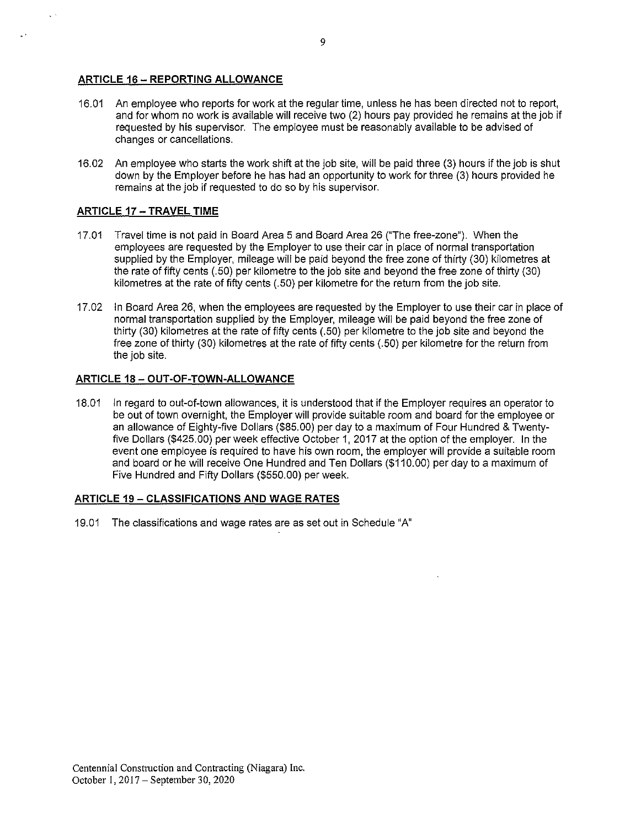# **ARTICLE 16 - REPORTING ALLOWANCE**

- 16.01 An employee who reports for work at the regular time, unless he has been directed not to report, and for whom no work is available will receive two (2) hours pay provided he remains at the job if requested by his supervisor. The employee must be reasonably available to be advised of changes or cancellations.
- 16.02 An employee who starts the work shift at the job site, will be paid three (3) hours if the job is shut down by the Employer before he has had an opportunity to work for three (3) hours provided he remains at the job if requested to do so by his supervisor.

# **ARTICLE 17 - TRAVEL TIME**

- 17.01 Travel time is not paid in Board Area 5 and Board Area 26 ("The free-zone"). When the employees are requested by the Employer to use their car in place of normal transportation supplied by the Employer, mileage will be paid beyond the free zone of thirty (30) kilometres at the rate of fifty cents (.50) per kilometre to the job site and beyond the free zone of thirty (30) kilometres at the rate of fifty cents (.50) per kilometre for the return from the job site.
- 17.02 In Board Area 26, when the employees are requested by the Employer to use their car in place of normal transportation supplied by the Employer, mileage will be paid beyond the free zone of thirty (30) kilometres at the rate of fifty cents (.50) per kilometre to the job site and beyond the free zone of thirty (30) kilometres at the rate of fifty cents (.50) per kilometre for the return from the job site.

# **ARTICLE 18 - OUT-OF-TOWN-ALLOWANCE**

18.01 In regard to out-of-town allowances, it is understood that if the Employer requires an operator to be out of town overnight, the Employer will provide suitable room and board for the employee or an allowance of Eighty-five Dollars (\$85.00) per day to a maximum of Four Hundred & Twentyfive Dollars (\$425.00) per week effective October 1, 2017 at the option of the employer. In the event one employee is required to have his own room, the employer will provide a suitable room and board or he will receive One Hundred and Ten Dollars (\$110.00) per day to a maximum of Five Hundred and Fifty Dollars (\$550.00) per week.

# **ARTICLE** 19 - **CLASSIFICATIONS AND WAGE RATES**

19.01 The classifications and wage rates are as set out in Schedule "A"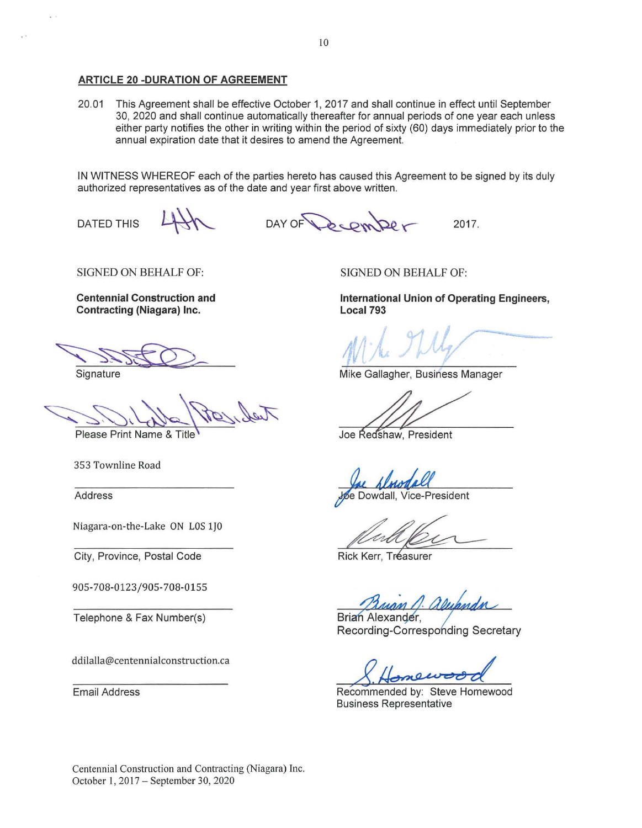#### **ARTICLE 20 -DURATION OF AGREEMENT**

20.01 This Agreement shall be effective October 1, 2017 and shall continue in effect until September 30, 2020 and shall continue automatically thereafter for annual periods of one year each unless either party notifies the other in writing within the period of sixty (60) days immediately prior to the annual expiration date that it desires to amend the Agreement.

IN WITNESS WHEREOF each of the parties hereto has caused this Agreement to be signed by its duly authorized representatives as of the date and year first above written.

DATED THIS

DAY OF Cemper 2017.

SIGNED ON BEHALF OF:

**Centennial Construction and Contracting (Niagara) Inc.** 

Contracting (Magara) Inc.

Please Print Name & Title

353 Townline Road

Address

Niagara-on-the-Lake ON LOS 1J0

City, Province, Postal Code

905-708-0123/905-708-0155

Telephone & Fax Number(s)

ddilalla@centennialconstruction.ca

Email Address

SIGNED ON BEHALF OF:

**International Union of Operating Engineers, Local793** 

Mike Gallagher, Business Manager

Examples Callagher, Business Manager<br>Redshaw, President

Sac Almodall<br>Spe Dowdall, Vice-President<br>Rick Kerr, Treasurer

Brian Alexander. Rick Kerr, Tréasurer<br> *Chann Al Alumendin*<br>
Brian Alexander,<br>
Recording-Corresponding Secretary

new

Recommended by: Steve Homewood Business Representative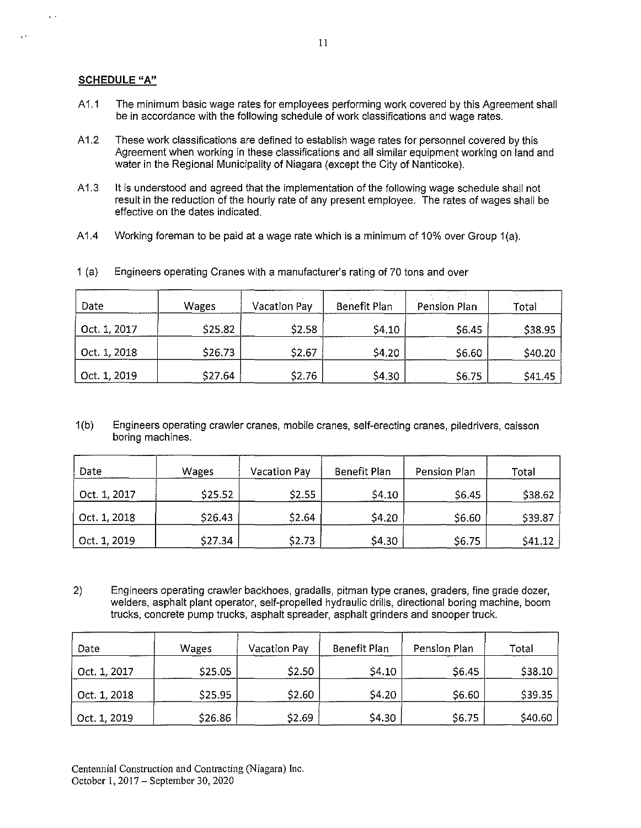# **SCHEDULE** "A"

 $\ddot{\phantom{a}}$ 

 $\sim$ 

- A1.1 The minimum basic wage rates for employees performing work covered by this Agreement shall be in accordance with the following schedule of work classifications and wage rates.
- A 1.2 These work classifications are defined to establish wage rates for personnel covered by this Agreement when working in these classifications and all similar equipment working on land and water in the Regional Municipality of Niagara (except the City of Nanticoke).
- A 1.3 It is understood and agreed that the implementation of the following wage schedule shall not result in the reduction of the hourly rate of any present employee. The rates of wages shall be effective on the dates indicated.
- A 1.4 Working foreman to be paid at a wage rate which is a minimum of 10% over Group  $1(a)$ .

| Date         | Wages   | <b>Vacation Pay</b> | <b>Benefit Plan</b> | Pension Plan | Total   |
|--------------|---------|---------------------|---------------------|--------------|---------|
| Oct. 1, 2017 | \$25.82 | \$2.58              | \$4.10              | \$6.45       | \$38.95 |
| Oct. 1, 2018 | \$26.73 | \$2.67              | <b>S4 20</b>        | \$6.60       | \$40.20 |
| Oct. 1, 2019 | \$27.64 | \$2.76              | \$4.30              | \$6.75       | \$41.45 |

1 (a) Engineers operating Cranes with a manufacturer's rating of 70 tons and over

1 (b) Engineers operating crawler cranes, mobile cranes, self-erecting cranes, piledrivers, caisson boring machines.

| Date         | Wages   | <b>Vacation Pay</b> | Benefit Plan | Pension Plan | Total   |
|--------------|---------|---------------------|--------------|--------------|---------|
| Oct. 1, 2017 | \$25.52 | <b>S2.55</b>        | \$4.10       | \$6.45       | \$38.62 |
| Oct. 1, 2018 | \$26.43 | S <sub>2</sub> .64  | \$4.20       | \$6.60       | \$39.87 |
| Oct. 1, 2019 | \$27.34 | S2.73               | \$4.30       | \$6.75       | \$41.12 |

2) Engineers operating crawler backhoes, gradalls, pitman type cranes, graders, fine grade dozer, welders, asphalt plant operator, self-propelled hydraulic drills, directional boring machine, boom trucks, concrete pump trucks, asphalt spreader, asphalt grinders and snooper truck.

| Date         | <b>Wages</b> | Vacation Pay | Benefit Plan | Pension Plan | Total   |
|--------------|--------------|--------------|--------------|--------------|---------|
| Oct. 1, 2017 | \$25.05      | \$2.50       | \$4.10       | \$6.45       | \$38.10 |
| Oct. 1, 2018 | \$25.95      | \$2.60       | \$4.20       | \$6.60       | \$39.35 |
| Oct. 1, 2019 | \$26.86      | \$2.69       | \$4.30       | \$6.75       | \$40.60 |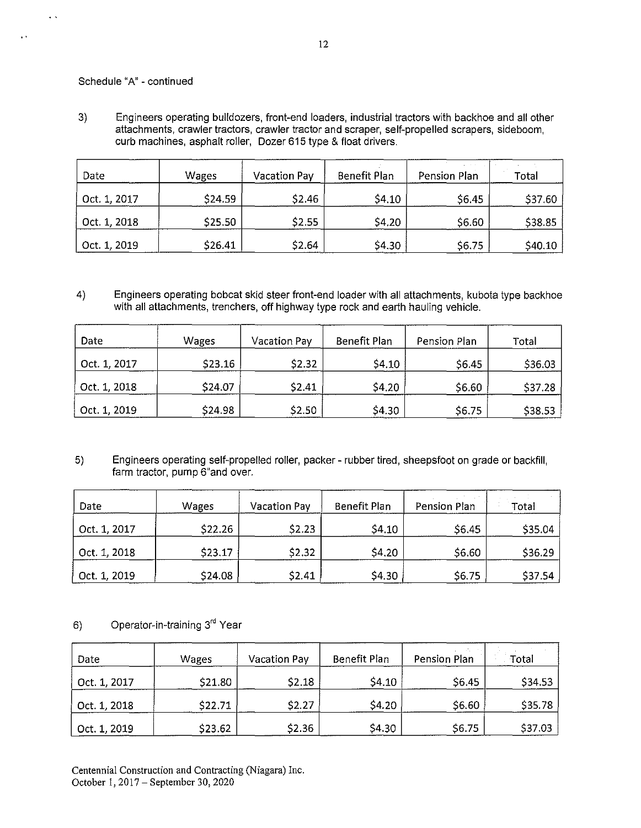# Schedule "A" - continued

 $\frac{1}{2}$  .

 $\overline{1}$ 

3) Engineers operating bulldozers, front-end loaders, industrial tractors with backhoe and all other attachments, crawler tractors, crawler tractor and scraper, self-propelled scrapers, sideboom, curb machines, asphalt roller, Dozer 615 type & float drivers.

| Date         | Wages   | Vacation Pay | Benefit Plan | <b>Contract</b><br>Pension Plan | Total         |
|--------------|---------|--------------|--------------|---------------------------------|---------------|
| Oct. 1, 2017 | \$24.59 | \$2.46       | 54.10        | \$6.45                          | \$37.60       |
| Oct. 1, 2018 | \$25.50 | \$2.55       | S4.20        | \$6.60                          | <b>S38.85</b> |
| Oct. 1, 2019 | \$26.41 | \$2.64       | \$4.30       | \$6.75                          | S40.10        |

4) Engineers operating bobcat skid steer front-end loader with all attachments, kubota type backhoe with all attachments, trenchers, off highway type rock and earth hauling vehicle.

| Date         | Wages   | Vacation Pay | Benefit Plan | Pension Plan | Total   |
|--------------|---------|--------------|--------------|--------------|---------|
| Oct. 1, 2017 | \$23.16 | \$2.32       | \$4.10       | \$6.45       | \$36.03 |
| Oct. 1, 2018 | \$24.07 | \$2.41       | \$4.20       | \$6.60       | \$37.28 |
| Oct. 1, 2019 | \$24.98 | \$2.50       | \$4.30       | \$6.75       | \$38.53 |

5) Engineers operating self-propelled roller, packer - rubber tired, sheepsfoot on grade or backfill, farm tractor, pump 6"and over.

| Date         | Wages   | Vacation Pay                   | Benefit Plan | Pension Plan | Total   |
|--------------|---------|--------------------------------|--------------|--------------|---------|
| Oct. 1, 2017 | \$22.26 | \$2.23                         | \$4.10       | \$6.45       | \$35.04 |
| Oct. 1, 2018 | \$23.17 | S <sub>2</sub> .3 <sub>2</sub> | \$4.20       | \$6.60       | \$36.29 |
| Oct. 1, 2019 | \$24.08 | \$2.41                         | \$4.30       | \$6.75       | \$37.54 |

# 6) Operator-in-training 3<sup>rd</sup> Year

| Date         | Wages   | <b>Vacation Pay</b> | Benefit Plan | Pension Plan | Total   |
|--------------|---------|---------------------|--------------|--------------|---------|
| Oct. 1, 2017 | \$21.80 | \$2.18              | \$4.10       | \$6.45       | \$34.53 |
| Oct. 1, 2018 | \$22.71 | \$2.27              | \$4.20       | \$6.60       | \$35.78 |
| Oct. 1, 2019 | \$23.62 | \$2.36              | \$4.30       | \$6.75       | \$37.03 |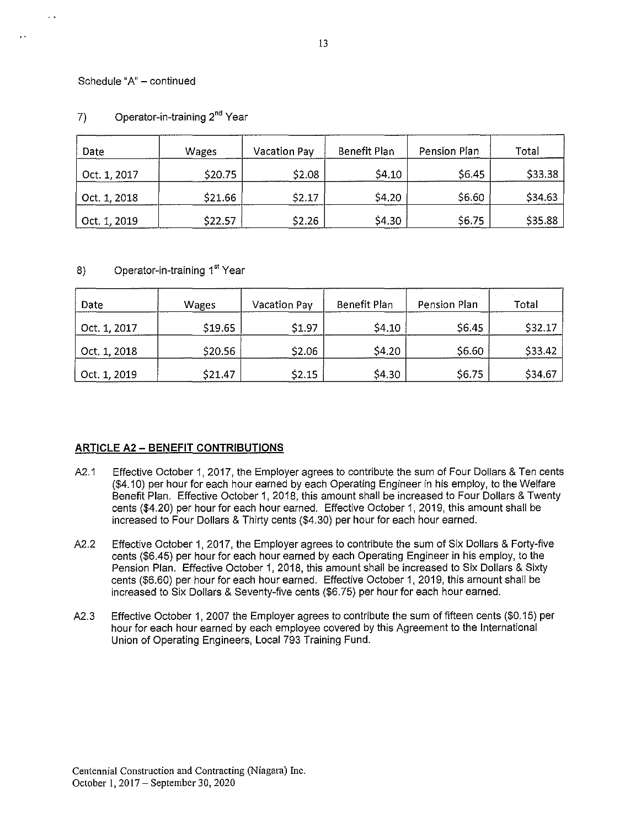# Schedule "A" - continued

 $\ddot{\phantom{a}}$ 

| Date         | Wages   | <b>Vacation Pay</b> | <b>Benefit Plan</b> | Pension Plan | Total   |
|--------------|---------|---------------------|---------------------|--------------|---------|
| Oct. 1, 2017 | S20.75  | \$2.08              | S4.10               | S6.45        | \$33.38 |
| Oct. 1, 2018 | \$21.66 | \$2.17              | \$4.20              | \$6.60       | \$34.63 |
| Oct. 1, 2019 | \$22.57 | \$2.26              | \$4.30              | \$6.75       | \$35.88 |

# 7) Operator-in-training 2<sup>nd</sup> Year

# 8) Operator-in-training 1<sup>st</sup> Year

| Date         | Wages   | Vacation Pay | Benefit Plan | Pension Plan | Total   |
|--------------|---------|--------------|--------------|--------------|---------|
| Oct. 1, 2017 | \$19.65 | \$1.97       | \$4.10       | \$6.45       | \$32.17 |
| Oct. 1, 2018 | \$20.56 | \$2.06       | <b>S4.20</b> | \$6.60       | \$33.42 |
| Oct. 1, 2019 | \$21.47 | \$2.15       | S4 30        | \$6.75       | \$34.67 |

# **ARTICLE** A2 - **BENEFIT CONTRIBUTIONS**

- A2.1 Effective October 1, 2017, the Employer agrees to contribute the sum of Four Dollars & Ten cents (\$4.10) per hour for each hour earned by each Operating Engineer in his employ, to the Welfare Benefit Plan. Effective October 1, 2018, this amount shall be increased to Four Dollars & Twenty cents (\$4.20) per hour for each hour earned. Effective October 1, 2019, this amount shall be increased to Four Dollars & Thirty cents (\$4.30) per hour for each hour earned.
- A2.2 Effective October 1, 2017, the Employer agrees to contribute the sum of Six Dollars & Forty-five cents (\$6.45) per hour for each hour earned by each Operating Engineer in his employ, to the Pension Plan. Effective October 1, 2018, this amount shall be increased to Six Dollars & Sixty cents (\$6.60) per hour for each hour earned. Effective October 1, 2019, this amount shall be increased to Six Dollars & Seventy-five cents (\$6.75) per hour for each hour earned.
- A2.3 Effective October 1, 2007 the Employer agrees to contribute the sum of fifteen cents (\$0.15) per hour for each hour earned by each employee covered by this Agreement to the International Union of Operating Engineers, Local 793 Training Fund.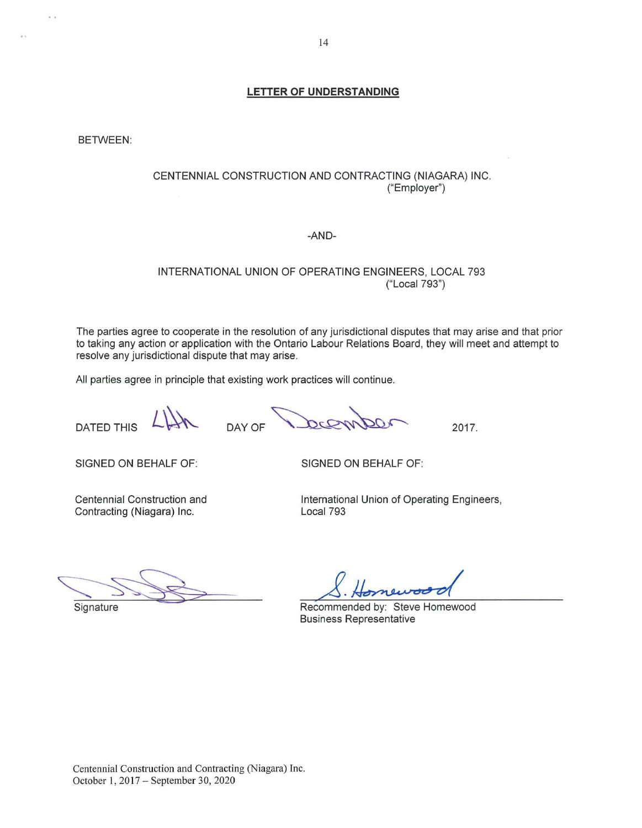BETWEEN:

 $\frac{1}{2}$ 

# CENTENNIAL CONSTRUCTION AND CONTRACTING (NIAGARA) INC. ("Employer")

#### -AND-

# INTERNATIONAL UNION OF OPERATING ENGINEERS, LOCAL 793 ("Local 793")

The parties agree to cooperate in the resolution of any jurisdictional disputes that may arise and that prior to taking any action or application with the Ontario Labour Relations Board, they will meet and attempt to resolve any jurisdictional dispute that may arise.

All parties agree in principle that existing work practices will continue.

DAY OF

DATED THIS

**Signature** 

SIGNED ON BEHALF OF:

SIGNED ON BEHALF OF:

Centennial Construction and Contracting (Niagara) Inc.

International Union of Operating Engineers, Local 793

2017.

Recommended by: Steve Homewood Business Representative

 $~\frac{1}{\sqrt{2}}$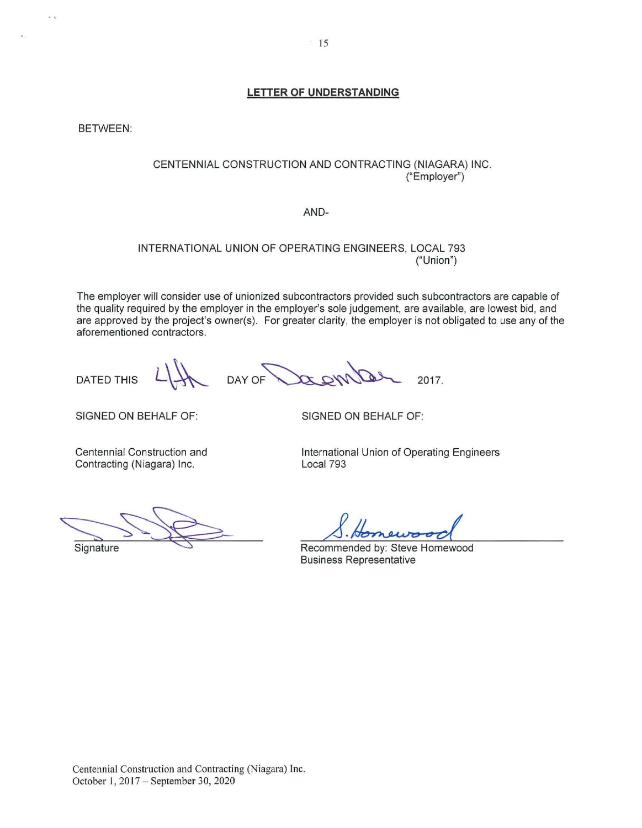BETWEEN:

 $\ddot{ }$ 

# CENTENNIAL CONSTRUCTION AND CONTRACTING (NIAGARA) INC. ("Employer")

#### AND-

# INTERNATIONAL UNION OF OPERATING ENGINEERS, LOCAL 793 ("Union")

The employer will consider use of unionized subcontractors provided such subcontractors are capable of the quality required by the employer in the employer's sole judgement, are available, are lowest bid, and are approved by the project's owner(s). For greater clarity, the employer is not obligated to use any of the aforementioned contractors.

DATED THIS

DAY OF 2017.

SIGNED ON BEHALF OF:

SIGNED ON BEHALF OF:

Centennial Construction and Contracting (Niagara) Inc.

International Union of Operating Engineers Local 793

Recommended by: Steve Homewood Business Representative

Signature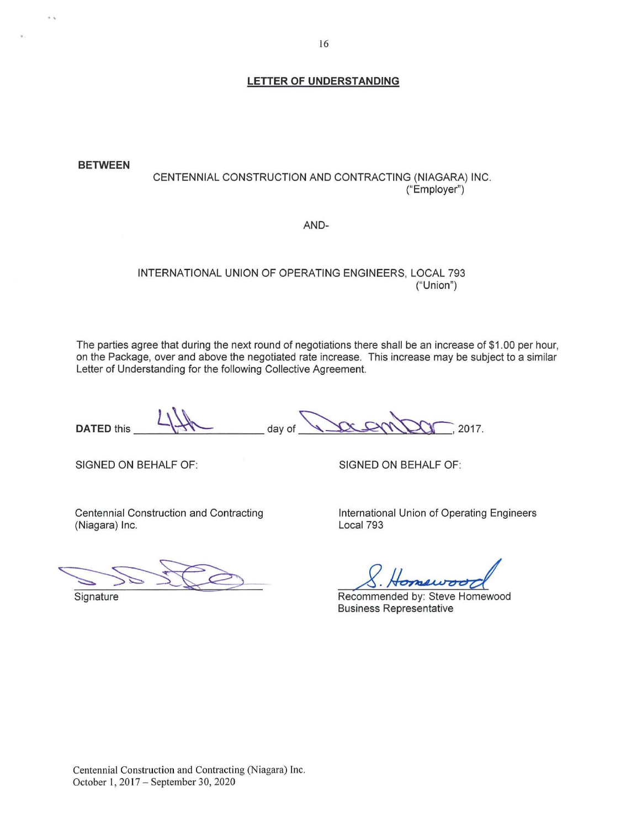**BETWEEN**  CENTENNIAL CONSTRUCTION AND CONTRACTING (NIAGARA) INC. ("Employer")

AND-

# INTERNATIONAL UNION OF OPERATING ENGINEERS, LOCAL 793 ("Union")

The parties agree that during the next round of negotiations there shall be an increase of \$1 .00 per hour, on the Package, over and above the negotiated rate increase. This increase may be subject to a similar Letter of Understanding for the following Collective Agreement. The parties agree that during the next round of negotiations there shall be an increase of \$1.00 per hour,<br>
on the Package, over and above the negotiated rate increase. This increase may be subject to a similar<br>
Letter of

 $\mathcal{L}^{\mathcal{L}}$ 

SIGNED ON BEHALF OF:

SIGNED ON BEHALF OF:

Centennial Construction and Contracting (Niagara) Inc.

Signature

International Union of Operating Engineers Local 793

Recommended by: Steve Homewood Business Representative